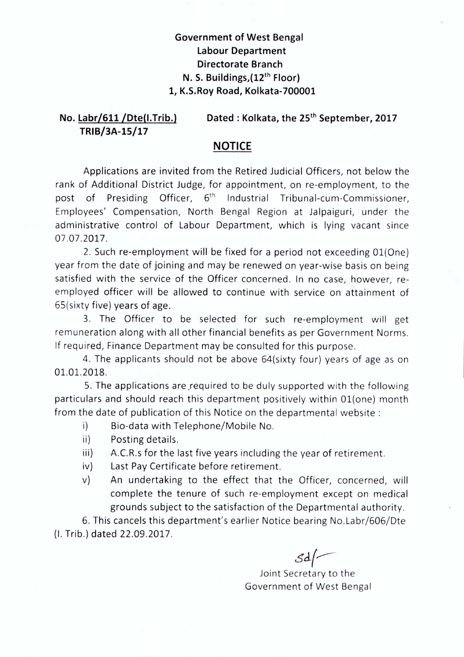## **Government of West Bengal Labour Department Directorate Branch N. S. Buildings,(12th Floor) 1, K.S.Roy Road, Kolkata-700001**

## **No. Labr/611/Dte(I.Trib.) TRIB/3A-15/17 Dated: Kolkata, the** 25th **September, 2017**

## **NOTICE**

Applications are invited from the Retired Judicial Officers, not below the rank of Additional District Judge, for appointment, on re-employment, to the post of Presiding Officer, 6<sup>th</sup> Industrial Tribunal-cum-Commissioner, Employees' Compensation, North Bengal Region at Jalpaiguri, under the administrative control of Labour Department, which is lying vacant since 07.07.2017.

2. Such re-employment will be fixed for a period not exceeding 01(One) year from the date of joining and may be renewed on year-wise basis on being satisfied with the service of the Officer concerned. In no case, however, reemployed officer will be allowed to continue with service on attainment of 65(sixty five) years of age.

3. The Officer to be selected for such re-employment will get remuneration along with all other financial benefits as per Government Norms. If required, Finance Department may be consulted for this purpose.

4. The applicants should not be above 64(sixty four) years of age as on 01.01.2018.

5. The applications are required to be duly supported with the following particulars and should reach this department positively within 01(one) month from the date of publication of this Notice on the departmental website:

- i) Bio-data with Telephone/Mobile No.
- ii) Posting details.
- $\text{ii)}$  A.C.R.s for the last five years including the year of retirement.
- iv) Last Pay Certificate before retirement.
- v) An undertaking to the effect that the Officer, concerned, will complete the tenure of such re-employment except on medical grounds subject to the satisfaction of the Departmental authority.

6. This cancels this department's earlier Notice bearing No.Labr/606/Dte (I. Trib.) dated 22.09.2017.

 $\mathcal{S}d$ 

Joint Secretary to the Government of West Bengal